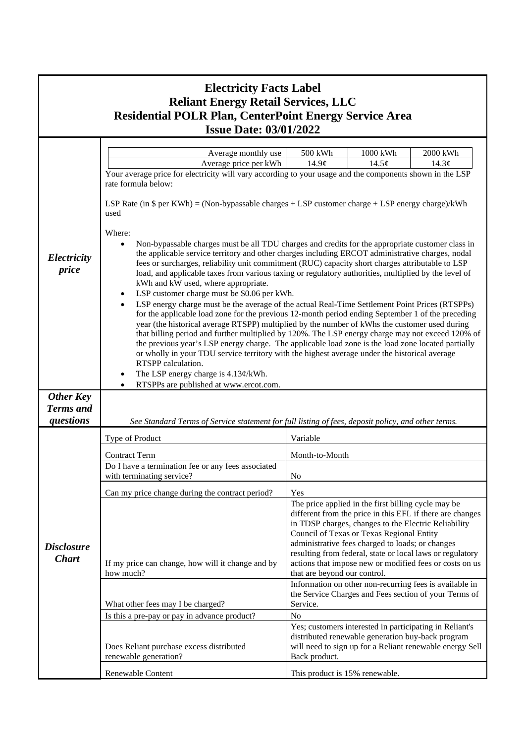| <b>Electricity Facts Label</b><br><b>Reliant Energy Retail Services, LLC</b><br><b>Residential POLR Plan, CenterPoint Energy Service Area</b><br><b>Issue Date: 03/01/2022</b>                                                         |                                                                                                                                                                                                                                                                                                                                                                                                                                                                                                                                                                                                                                                                                                                                                                                                                                                                                                                                                                                                                                                                                                                                                                                                                                                                      |                                                                                                                                                                                           |                                                                                                                                                      |                                                                                                                                                                                                                                           |  |  |
|----------------------------------------------------------------------------------------------------------------------------------------------------------------------------------------------------------------------------------------|----------------------------------------------------------------------------------------------------------------------------------------------------------------------------------------------------------------------------------------------------------------------------------------------------------------------------------------------------------------------------------------------------------------------------------------------------------------------------------------------------------------------------------------------------------------------------------------------------------------------------------------------------------------------------------------------------------------------------------------------------------------------------------------------------------------------------------------------------------------------------------------------------------------------------------------------------------------------------------------------------------------------------------------------------------------------------------------------------------------------------------------------------------------------------------------------------------------------------------------------------------------------|-------------------------------------------------------------------------------------------------------------------------------------------------------------------------------------------|------------------------------------------------------------------------------------------------------------------------------------------------------|-------------------------------------------------------------------------------------------------------------------------------------------------------------------------------------------------------------------------------------------|--|--|
|                                                                                                                                                                                                                                        |                                                                                                                                                                                                                                                                                                                                                                                                                                                                                                                                                                                                                                                                                                                                                                                                                                                                                                                                                                                                                                                                                                                                                                                                                                                                      |                                                                                                                                                                                           |                                                                                                                                                      |                                                                                                                                                                                                                                           |  |  |
| Your average price for electricity will vary according to your usage and the components shown in the LSP<br>rate formula below:<br>LSP Rate (in $\$$ per KWh) = (Non-bypassable charges + LSP customer charge + LSP energy charge)/kWh |                                                                                                                                                                                                                                                                                                                                                                                                                                                                                                                                                                                                                                                                                                                                                                                                                                                                                                                                                                                                                                                                                                                                                                                                                                                                      |                                                                                                                                                                                           |                                                                                                                                                      |                                                                                                                                                                                                                                           |  |  |
| Electricity<br>price                                                                                                                                                                                                                   | used<br>Where:<br>Non-bypassable charges must be all TDU charges and credits for the appropriate customer class in<br>$\bullet$<br>the applicable service territory and other charges including ERCOT administrative charges, nodal<br>fees or surcharges, reliability unit commitment (RUC) capacity short charges attributable to LSP<br>load, and applicable taxes from various taxing or regulatory authorities, multiplied by the level of<br>kWh and kW used, where appropriate.<br>LSP customer charge must be \$0.06 per kWh.<br>٠<br>LSP energy charge must be the average of the actual Real-Time Settlement Point Prices (RTSPPs)<br>for the applicable load zone for the previous 12-month period ending September 1 of the preceding<br>year (the historical average RTSPP) multiplied by the number of kWhs the customer used during<br>that billing period and further multiplied by 120%. The LSP energy charge may not exceed 120% of<br>the previous year's LSP energy charge. The applicable load zone is the load zone located partially<br>or wholly in your TDU service territory with the highest average under the historical average<br>RTSPP calculation.<br>The LSP energy charge is 4.13¢/kWh.<br>RTSPPs are published at www.ercot.com. |                                                                                                                                                                                           |                                                                                                                                                      |                                                                                                                                                                                                                                           |  |  |
| <b>Other Key</b><br><b>Terms</b> and<br>questions                                                                                                                                                                                      | See Standard Terms of Service statement for full listing of fees, deposit policy, and other terms.                                                                                                                                                                                                                                                                                                                                                                                                                                                                                                                                                                                                                                                                                                                                                                                                                                                                                                                                                                                                                                                                                                                                                                   |                                                                                                                                                                                           |                                                                                                                                                      |                                                                                                                                                                                                                                           |  |  |
|                                                                                                                                                                                                                                        | Type of Product                                                                                                                                                                                                                                                                                                                                                                                                                                                                                                                                                                                                                                                                                                                                                                                                                                                                                                                                                                                                                                                                                                                                                                                                                                                      | Variable                                                                                                                                                                                  |                                                                                                                                                      |                                                                                                                                                                                                                                           |  |  |
|                                                                                                                                                                                                                                        | <b>Contract Term</b><br>Do I have a termination fee or any fees associated<br>with terminating service?                                                                                                                                                                                                                                                                                                                                                                                                                                                                                                                                                                                                                                                                                                                                                                                                                                                                                                                                                                                                                                                                                                                                                              | Month-to-Month<br>No                                                                                                                                                                      |                                                                                                                                                      |                                                                                                                                                                                                                                           |  |  |
|                                                                                                                                                                                                                                        | Can my price change during the contract period?                                                                                                                                                                                                                                                                                                                                                                                                                                                                                                                                                                                                                                                                                                                                                                                                                                                                                                                                                                                                                                                                                                                                                                                                                      | Yes                                                                                                                                                                                       |                                                                                                                                                      |                                                                                                                                                                                                                                           |  |  |
| <b>Disclosure</b><br><b>Chart</b>                                                                                                                                                                                                      | If my price can change, how will it change and by<br>how much?                                                                                                                                                                                                                                                                                                                                                                                                                                                                                                                                                                                                                                                                                                                                                                                                                                                                                                                                                                                                                                                                                                                                                                                                       | that are beyond our control.                                                                                                                                                              | The price applied in the first billing cycle may be<br>Council of Texas or Texas Regional Entity<br>administrative fees charged to loads; or changes | different from the price in this EFL if there are changes<br>in TDSP charges, changes to the Electric Reliability<br>resulting from federal, state or local laws or regulatory<br>actions that impose new or modified fees or costs on us |  |  |
|                                                                                                                                                                                                                                        | What other fees may I be charged?                                                                                                                                                                                                                                                                                                                                                                                                                                                                                                                                                                                                                                                                                                                                                                                                                                                                                                                                                                                                                                                                                                                                                                                                                                    | Service.                                                                                                                                                                                  |                                                                                                                                                      | Information on other non-recurring fees is available in<br>the Service Charges and Fees section of your Terms of                                                                                                                          |  |  |
|                                                                                                                                                                                                                                        | Is this a pre-pay or pay in advance product?                                                                                                                                                                                                                                                                                                                                                                                                                                                                                                                                                                                                                                                                                                                                                                                                                                                                                                                                                                                                                                                                                                                                                                                                                         | N <sub>0</sub>                                                                                                                                                                            |                                                                                                                                                      |                                                                                                                                                                                                                                           |  |  |
|                                                                                                                                                                                                                                        | Does Reliant purchase excess distributed<br>renewable generation?                                                                                                                                                                                                                                                                                                                                                                                                                                                                                                                                                                                                                                                                                                                                                                                                                                                                                                                                                                                                                                                                                                                                                                                                    | Yes; customers interested in participating in Reliant's<br>distributed renewable generation buy-back program<br>will need to sign up for a Reliant renewable energy Sell<br>Back product. |                                                                                                                                                      |                                                                                                                                                                                                                                           |  |  |
|                                                                                                                                                                                                                                        | Renewable Content                                                                                                                                                                                                                                                                                                                                                                                                                                                                                                                                                                                                                                                                                                                                                                                                                                                                                                                                                                                                                                                                                                                                                                                                                                                    | This product is 15% renewable.                                                                                                                                                            |                                                                                                                                                      |                                                                                                                                                                                                                                           |  |  |